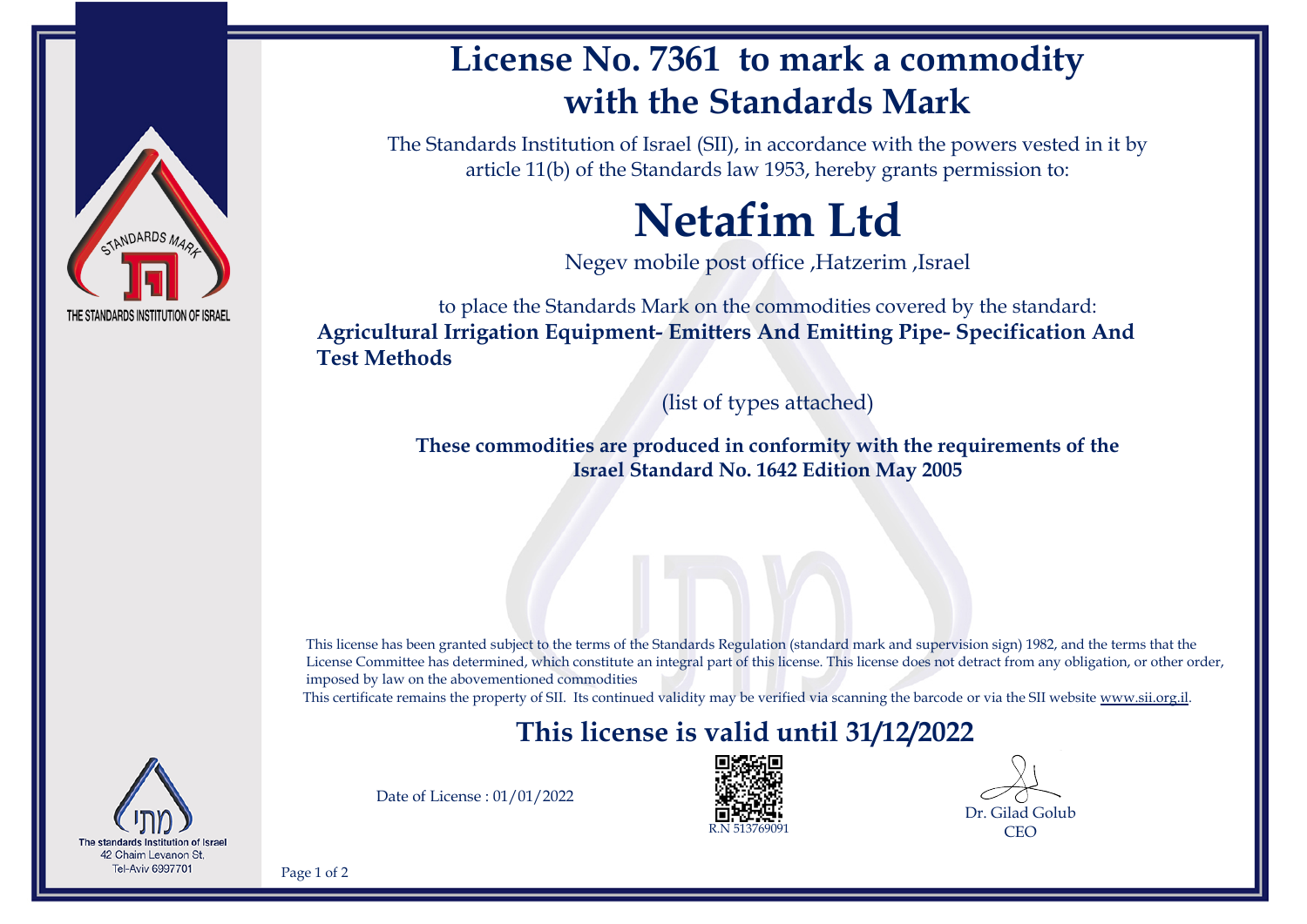

# **License No. 7361 to mark a commodity with the Standards Mark**

The Standards Institution of Israel (SII), in accordance with the powers vested in it by article 11(b) of the Standards law 1953, hereby grants permission to:

# **Netafim Ltd**

Negev mobile post office ,Hatzerim ,Israel

to place the Standards Mark on the commodities covered by the standard: **Agricultural Irrigation Equipment- Emitters And Emitting Pipe- Specification And Test Methods**

(list of types attached)

**These commodities are produced in conformity with the requirements of the Israel Standard No. 1642 Edition May 2005**

This license has been granted subject to the terms of the Standards Regulation (standard mark and supervision sign) 1982, and the terms that the License Committee has determined, which constitute an integral part of this license. This license does not detract from any obligation, or other order, imposed by law on the abovementioned commodities

This certificate remains the property of SII. Its continued validity may be verified via scanning the barcode or via the SII website [www.sii.org.il.](http://www.sii.org.il)

### **This license is valid until 31/12/2022**



Date of License : 01/01/2022



Dr. Gilad Golub **CEO** 

Page 1 of 2